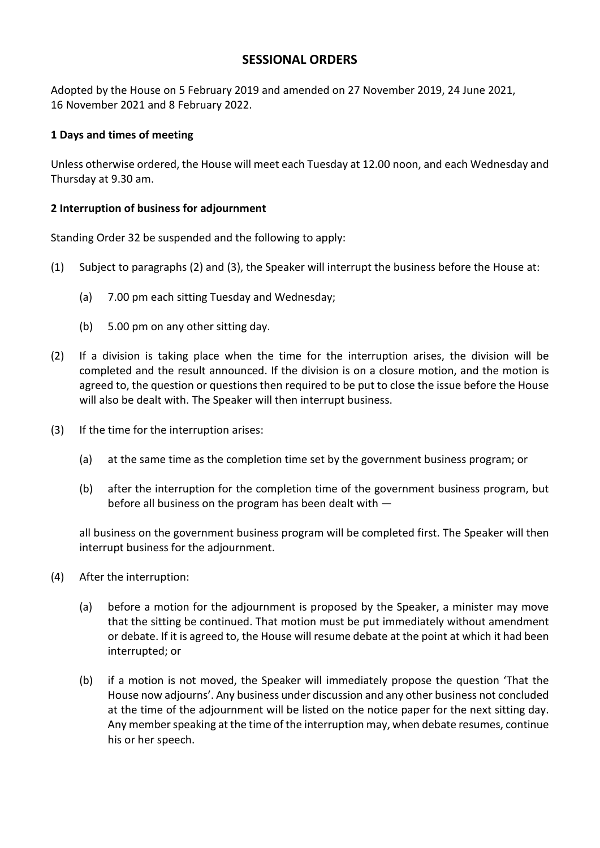# **SESSIONAL ORDERS**

Adopted by the House on 5 February 2019 and amended on 27 November 2019, 24 June 2021, 16 November 2021 and 8 February 2022.

## **1 Days and times of meeting**

Unless otherwise ordered, the House will meet each Tuesday at 12.00 noon, and each Wednesday and Thursday at 9.30 am.

## **2 Interruption of business for adjournment**

Standing Order 32 be suspended and the following to apply:

- (1) Subject to paragraphs (2) and (3), the Speaker will interrupt the business before the House at:
	- (a) 7.00 pm each sitting Tuesday and Wednesday;
	- (b) 5.00 pm on any other sitting day.
- (2) If a division is taking place when the time for the interruption arises, the division will be completed and the result announced. If the division is on a closure motion, and the motion is agreed to, the question or questions then required to be put to close the issue before the House will also be dealt with. The Speaker will then interrupt business.
- (3) If the time for the interruption arises:
	- (a) at the same time as the completion time set by the government business program; or
	- (b) after the interruption for the completion time of the government business program, but before all business on the program has been dealt with —

all business on the government business program will be completed first. The Speaker will then interrupt business for the adjournment.

- (4) After the interruption:
	- (a) before a motion for the adjournment is proposed by the Speaker, a minister may move that the sitting be continued. That motion must be put immediately without amendment or debate. If it is agreed to, the House will resume debate at the point at which it had been interrupted; or
	- (b) if a motion is not moved, the Speaker will immediately propose the question 'That the House now adjourns'. Any business under discussion and any other business not concluded at the time of the adjournment will be listed on the notice paper for the next sitting day. Any member speaking at the time of the interruption may, when debate resumes, continue his or her speech.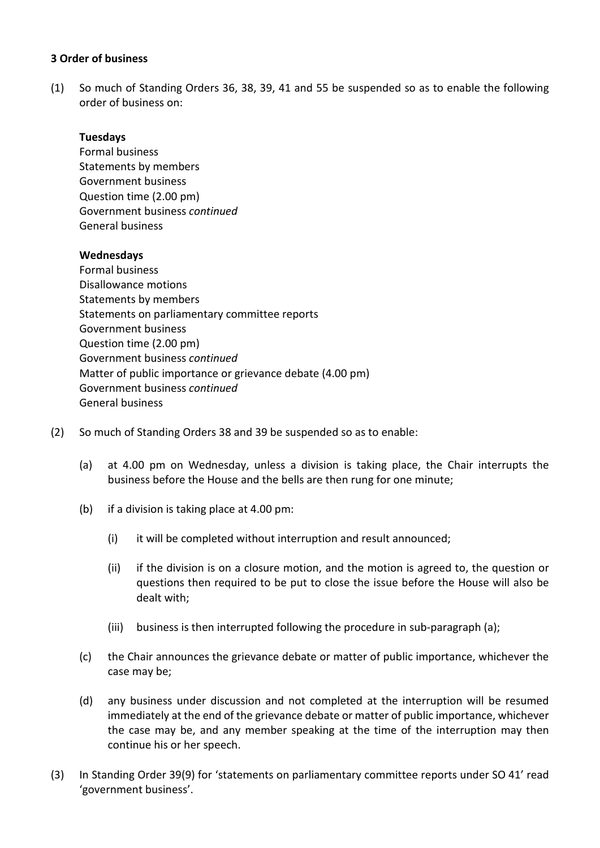#### **3 Order of business**

(1) So much of Standing Orders 36, 38, 39, 41 and 55 be suspended so as to enable the following order of business on:

## **Tuesdays**

Formal business Statements by members Government business Question time (2.00 pm) Government business *continued* General business

## **Wednesdays**

Formal business Disallowance motions Statements by members Statements on parliamentary committee reports Government business Question time (2.00 pm) Government business *continued* Matter of public importance or grievance debate (4.00 pm) Government business *continued* General business

- (2) So much of Standing Orders 38 and 39 be suspended so as to enable:
	- (a) at 4.00 pm on Wednesday, unless a division is taking place, the Chair interrupts the business before the House and the bells are then rung for one minute;
	- (b) if a division is taking place at 4.00 pm:
		- (i) it will be completed without interruption and result announced;
		- (ii) if the division is on a closure motion, and the motion is agreed to, the question or questions then required to be put to close the issue before the House will also be dealt with;
		- (iii) business is then interrupted following the procedure in sub-paragraph (a);
	- (c) the Chair announces the grievance debate or matter of public importance, whichever the case may be;
	- (d) any business under discussion and not completed at the interruption will be resumed immediately at the end of the grievance debate or matter of public importance, whichever the case may be, and any member speaking at the time of the interruption may then continue his or her speech.
- (3) In Standing Order 39(9) for 'statements on parliamentary committee reports under SO 41' read 'government business'.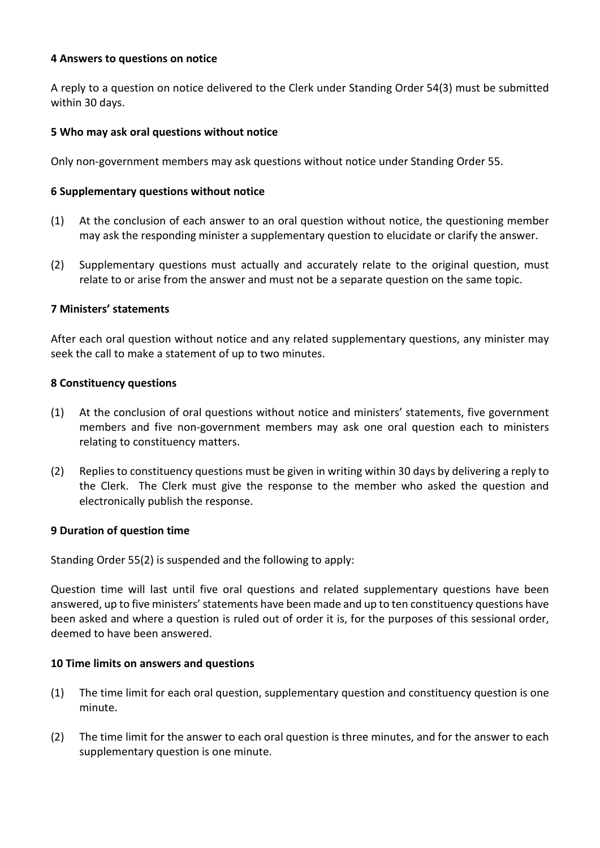#### **4 Answers to questions on notice**

A reply to a question on notice delivered to the Clerk under Standing Order 54(3) must be submitted within 30 days.

#### **5 Who may ask oral questions without notice**

Only non-government members may ask questions without notice under Standing Order 55.

#### **6 Supplementary questions without notice**

- (1) At the conclusion of each answer to an oral question without notice, the questioning member may ask the responding minister a supplementary question to elucidate or clarify the answer.
- (2) Supplementary questions must actually and accurately relate to the original question, must relate to or arise from the answer and must not be a separate question on the same topic.

## **7 Ministers' statements**

After each oral question without notice and any related supplementary questions, any minister may seek the call to make a statement of up to two minutes.

#### **8 Constituency questions**

- (1) At the conclusion of oral questions without notice and ministers' statements, five government members and five non-government members may ask one oral question each to ministers relating to constituency matters.
- (2) Replies to constituency questions must be given in writing within 30 days by delivering a reply to the Clerk. The Clerk must give the response to the member who asked the question and electronically publish the response.

#### **9 Duration of question time**

Standing Order 55(2) is suspended and the following to apply:

Question time will last until five oral questions and related supplementary questions have been answered, up to five ministers' statements have been made and up to ten constituency questions have been asked and where a question is ruled out of order it is, for the purposes of this sessional order, deemed to have been answered.

#### **10 Time limits on answers and questions**

- (1) The time limit for each oral question, supplementary question and constituency question is one minute.
- (2) The time limit for the answer to each oral question is three minutes, and for the answer to each supplementary question is one minute.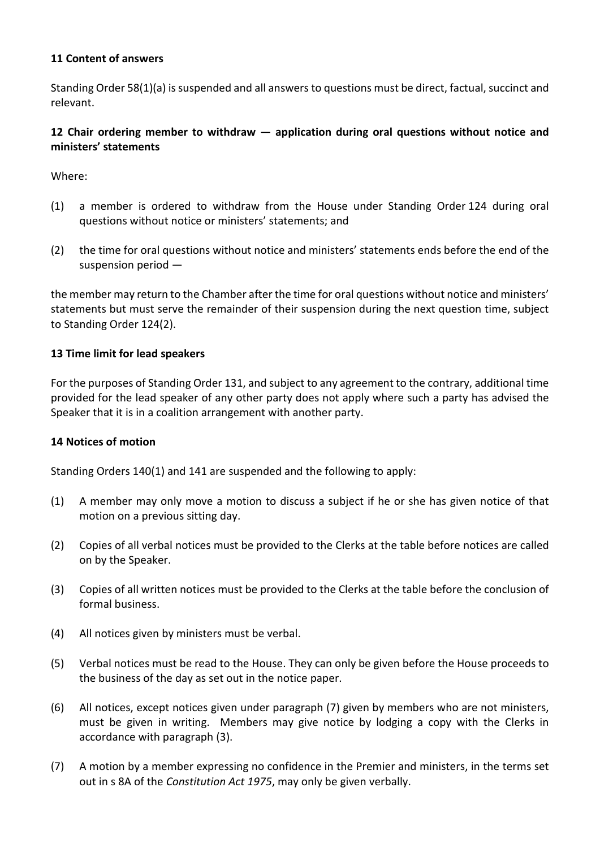## **11 Content of answers**

Standing Order 58(1)(a) is suspended and all answers to questions must be direct, factual, succinct and relevant.

## **12 Chair ordering member to withdraw — application during oral questions without notice and ministers' statements**

Where:

- (1) a member is ordered to withdraw from the House under Standing Order 124 during oral questions without notice or ministers' statements; and
- (2) the time for oral questions without notice and ministers' statements ends before the end of the suspension period —

the member may return to the Chamber after the time for oral questions without notice and ministers' statements but must serve the remainder of their suspension during the next question time, subject to Standing Order 124(2).

#### **13 Time limit for lead speakers**

For the purposes of Standing Order 131, and subject to any agreement to the contrary, additional time provided for the lead speaker of any other party does not apply where such a party has advised the Speaker that it is in a coalition arrangement with another party.

#### **14 Notices of motion**

Standing Orders 140(1) and 141 are suspended and the following to apply:

- (1) A member may only move a motion to discuss a subject if he or she has given notice of that motion on a previous sitting day.
- (2) Copies of all verbal notices must be provided to the Clerks at the table before notices are called on by the Speaker.
- (3) Copies of all written notices must be provided to the Clerks at the table before the conclusion of formal business.
- (4) All notices given by ministers must be verbal.
- (5) Verbal notices must be read to the House. They can only be given before the House proceeds to the business of the day as set out in the notice paper.
- (6) All notices, except notices given under paragraph (7) given by members who are not ministers, must be given in writing. Members may give notice by lodging a copy with the Clerks in accordance with paragraph (3).
- (7) A motion by a member expressing no confidence in the Premier and ministers, in the terms set out in s 8A of the *Constitution Act 1975*, may only be given verbally.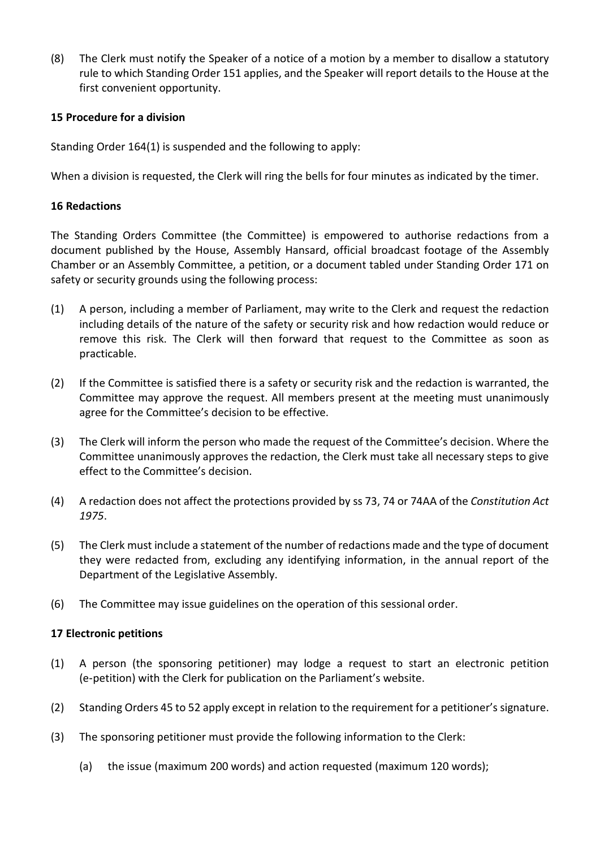(8) The Clerk must notify the Speaker of a notice of a motion by a member to disallow a statutory rule to which Standing Order 151 applies, and the Speaker will report details to the House at the first convenient opportunity.

## **15 Procedure for a division**

Standing Order 164(1) is suspended and the following to apply:

When a division is requested, the Clerk will ring the bells for four minutes as indicated by the timer.

## **16 Redactions**

The Standing Orders Committee (the Committee) is empowered to authorise redactions from a document published by the House, Assembly Hansard, official broadcast footage of the Assembly Chamber or an Assembly Committee, a petition, or a document tabled under Standing Order 171 on safety or security grounds using the following process:

- (1) A person, including a member of Parliament, may write to the Clerk and request the redaction including details of the nature of the safety or security risk and how redaction would reduce or remove this risk. The Clerk will then forward that request to the Committee as soon as practicable.
- (2) If the Committee is satisfied there is a safety or security risk and the redaction is warranted, the Committee may approve the request. All members present at the meeting must unanimously agree for the Committee's decision to be effective.
- (3) The Clerk will inform the person who made the request of the Committee's decision. Where the Committee unanimously approves the redaction, the Clerk must take all necessary steps to give effect to the Committee's decision.
- (4) A redaction does not affect the protections provided by ss 73, 74 or 74AA of the *Constitution Act 1975*.
- (5) The Clerk must include a statement of the number of redactions made and the type of document they were redacted from, excluding any identifying information, in the annual report of the Department of the Legislative Assembly.
- (6) The Committee may issue guidelines on the operation of this sessional order.

#### **17 Electronic petitions**

- (1) A person (the sponsoring petitioner) may lodge a request to start an electronic petition (e‑petition) with the Clerk for publication on the Parliament's website.
- (2) Standing Orders 45 to 52 apply except in relation to the requirement for a petitioner's signature.
- (3) The sponsoring petitioner must provide the following information to the Clerk:
	- (a) the issue (maximum 200 words) and action requested (maximum 120 words);